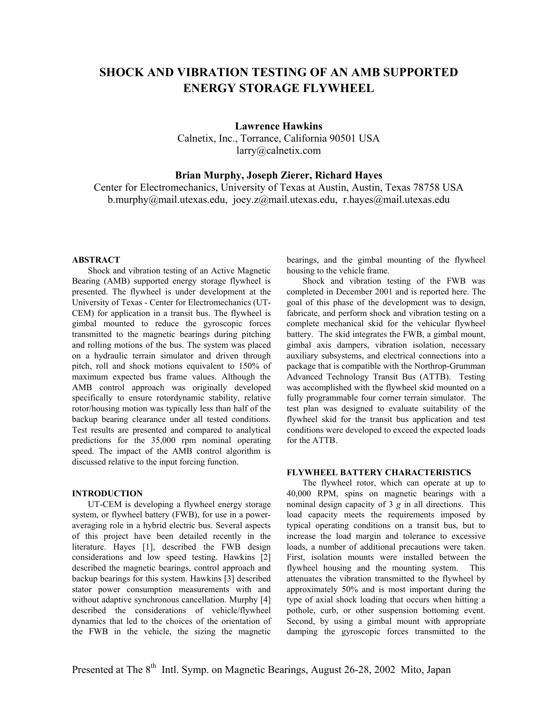# **SHOCK AND VIBRATION TESTING OF AN AMB SUPPORTED ENERGY STORAGE FLYWHEEL**

**Lawrence Hawkins**  Calnetix, Inc., Torrance, California 90501 USA larry@calnetix.com

# **Brian Murphy, Joseph Zierer, Richard Hayes**

Center for Electromechanics, University of Texas at Austin, Austin, Texas 78758 USA b.murphy@mail.utexas.edu, joey.z@mail.utexas.edu, r.hayes@mail.utexas.edu

#### **ABSTRACT**

Shock and vibration testing of an Active Magnetic Bearing (AMB) supported energy storage flywheel is presented. The flywheel is under development at the University of Texas - Center for Electromechanics (UT-CEM) for application in a transit bus. The flywheel is gimbal mounted to reduce the gyroscopic forces transmitted to the magnetic bearings during pitching and rolling motions of the bus. The system was placed on a hydraulic terrain simulator and driven through pitch, roll and shock motions equivalent to 150% of maximum expected bus frame values. Although the AMB control approach was originally developed specifically to ensure rotordynamic stability, relative rotor/housing motion was typically less than half of the backup bearing clearance under all tested conditions. Test results are presented and compared to analytical predictions for the 35,000 rpm nominal operating speed. The impact of the AMB control algorithm is discussed relative to the input forcing function.

### **INTRODUCTION**

UT-CEM is developing a flywheel energy storage system, or flywheel battery (FWB), for use in a poweraveraging role in a hybrid electric bus. Several aspects of this project have been detailed recently in the literature. Hayes [1], described the FWB design considerations and low speed testing. Hawkins [2] described the magnetic bearings, control approach and backup bearings for this system. Hawkins [3] described stator power consumption measurements with and without adaptive synchronous cancellation. Murphy [4] described the considerations of vehicle/flywheel dynamics that led to the choices of the orientation of the FWB in the vehicle, the sizing the magnetic

bearings, and the gimbal mounting of the flywheel housing to the vehicle frame.

Shock and vibration testing of the FWB was completed in December 2001 and is reported here. The goal of this phase of the development was to design, fabricate, and perform shock and vibration testing on a complete mechanical skid for the vehicular flywheel battery. The skid integrates the FWB, a gimbal mount, gimbal axis dampers, vibration isolation, necessary auxiliary subsystems, and electrical connections into a package that is compatible with the Northrop-Grumman Advanced Technology Transit Bus (ATTB). Testing was accomplished with the flywheel skid mounted on a fully programmable four corner terrain simulator. The test plan was designed to evaluate suitability of the flywheel skid for the transit bus application and test conditions were developed to exceed the expected loads for the ATTB.

### **FLYWHEEL BATTERY CHARACTERISTICS**

The flywheel rotor, which can operate at up to 40,000 RPM, spins on magnetic bearings with a nominal design capacity of 3 *g* in all directions. This load capacity meets the requirements imposed by typical operating conditions on a transit bus, but to increase the load margin and tolerance to excessive loads, a number of additional precautions were taken. First, isolation mounts were installed between the flywheel housing and the mounting system. This attenuates the vibration transmitted to the flywheel by approximately 50% and is most important during the type of axial shock loading that occurs when hitting a pothole, curb, or other suspension bottoming event. Second, by using a gimbal mount with appropriate damping the gyroscopic forces transmitted to the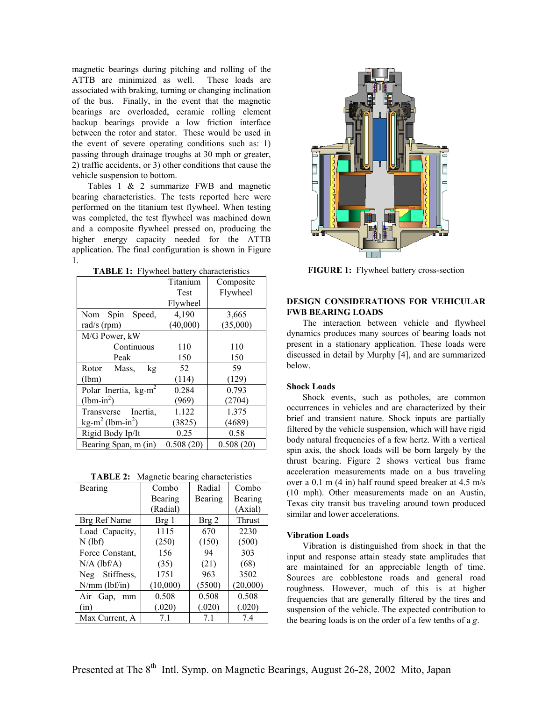magnetic bearings during pitching and rolling of the ATTB are minimized as well. These loads are associated with braking, turning or changing inclination of the bus. Finally, in the event that the magnetic bearings are overloaded, ceramic rolling element backup bearings provide a low friction interface between the rotor and stator. These would be used in the event of severe operating conditions such as: 1) passing through drainage troughs at 30 mph or greater, 2) traffic accidents, or 3) other conditions that cause the vehicle suspension to bottom.

Tables 1 & 2 summarize FWB and magnetic bearing characteristics. The tests reported here were performed on the titanium test flywheel. When testing was completed, the test flywheel was machined down and a composite flywheel pressed on, producing the higher energy capacity needed for the ATTB application. The final configuration is shown in Figure 1.

|                                          | Titanium    | Composite |
|------------------------------------------|-------------|-----------|
|                                          |             |           |
|                                          | <b>Test</b> | Flywheel  |
|                                          | Flywheel    |           |
| Nom Spin<br>Speed,                       | 4,190       | 3,665     |
| rad/s $(rpm)$                            | (40,000)    | (35,000)  |
| M/G Power, kW                            |             |           |
| Continuous                               | 110         | 110       |
| Peak                                     | 150         | 150       |
| Rotor<br>Mass,<br>kg                     | 52          | 59        |
| (lbm)                                    | (114)       | (129)     |
| Polar Inertia, $kg-m^2$                  | 0.284       | 0.793     |
| $(lbm-in^2)$                             | (969)       | (2704)    |
| Transverse Inertia,                      | 1.122       | 1.375     |
| kg-m <sup>2</sup> (lbm-in <sup>2</sup> ) | (3825)      | (4689)    |
| Rigid Body Ip/It                         | 0.25        | 0.58      |
| Bearing Span, m (in)                     | 0.508(20)   | 0.508(20) |

**TABLE 2:** Magnetic bearing characteristics

| - 75- -           |          |         |          |  |  |
|-------------------|----------|---------|----------|--|--|
| Bearing           | Combo    | Radial  | Combo    |  |  |
|                   | Bearing  | Bearing | Bearing  |  |  |
|                   | (Radial) |         | (Axial)  |  |  |
| Brg Ref Name      | Brg 1    | Brg 2   | Thrust   |  |  |
| Load Capacity,    | 1115     | 670     | 2230     |  |  |
| $N$ (lbf)         | (250)    | (150)   | (500)    |  |  |
| Force Constant,   | 156      | 94      | 303      |  |  |
| $N/A$ (lbf/A)     | (35)     | (21)    | (68)     |  |  |
| Neg Stiffness,    | 1751     | 963     | 3502     |  |  |
| $N/mm$ (lbf/in)   | (10,000) | (5500)  | (20,000) |  |  |
| Air<br>Gap,<br>mm | 0.508    | 0.508   | 0.508    |  |  |
| (in)              | (.020)   | (.020)  | (.020)   |  |  |
| Max Current, A    | 7.1      | 7.1     | 7.4      |  |  |
|                   |          |         |          |  |  |



**TABLE 1:** Flywheel battery characteristics **FIGURE 1:** Flywheel battery cross-section

## **DESIGN CONSIDERATIONS FOR VEHICULAR FWB BEARING LOADS**

The interaction between vehicle and flywheel dynamics produces many sources of bearing loads not present in a stationary application. These loads were discussed in detail by Murphy [4], and are summarized below.

#### **Shock Loads**

Shock events, such as potholes, are common occurrences in vehicles and are characterized by their brief and transient nature. Shock inputs are partially filtered by the vehicle suspension, which will have rigid body natural frequencies of a few hertz. With a vertical spin axis, the shock loads will be born largely by the thrust bearing. Figure 2 shows vertical bus frame acceleration measurements made on a bus traveling over a 0.1 m (4 in) half round speed breaker at 4.5 m/s (10 mph). Other measurements made on an Austin, Texas city transit bus traveling around town produced similar and lower accelerations.

#### **Vibration Loads**

Vibration is distinguished from shock in that the input and response attain steady state amplitudes that are maintained for an appreciable length of time. Sources are cobblestone roads and general road roughness. However, much of this is at higher frequencies that are generally filtered by the tires and suspension of the vehicle. The expected contribution to the bearing loads is on the order of a few tenths of a *g*.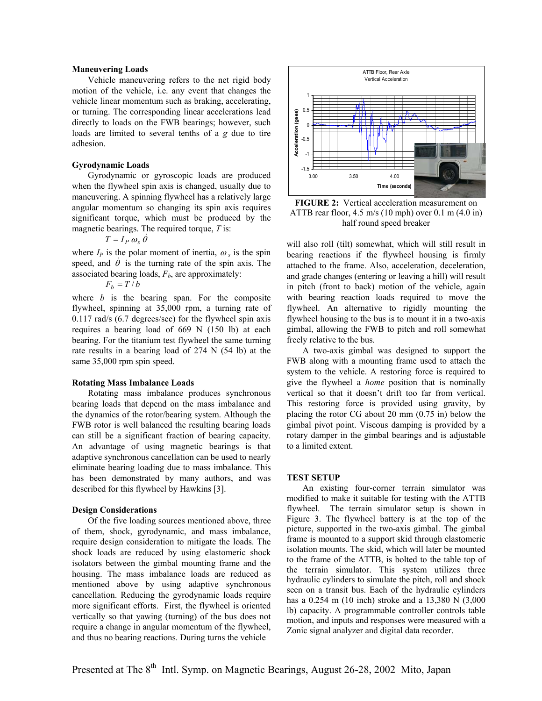Vehicle maneuvering refers to the net rigid body motion of the vehicle, i.e. any event that changes the vehicle linear momentum such as braking, accelerating, or turning. The corresponding linear accelerations lead directly to loads on the FWB bearings; however, such loads are limited to several tenths of a *g* due to tire adhesion.

#### **Gyrodynamic Loads**

Gyrodynamic or gyroscopic loads are produced when the flywheel spin axis is changed, usually due to maneuvering. A spinning flywheel has a relatively large angular momentum so changing its spin axis requires significant torque, which must be produced by the magnetic bearings. The required torque, *T* is:

$$
T = I_P \omega_s \theta
$$

where  $I_P$  is the polar moment of inertia,  $\omega_s$  is the spin speed, and  $\dot{\theta}$  is the turning rate of the spin axis. The associated bearing loads,  $F_b$ , are approximately:

$$
F_b = T/b
$$

where *b* is the bearing span. For the composite flywheel, spinning at 35,000 rpm, a turning rate of 0.117 rad/s (6.7 degrees/sec) for the flywheel spin axis requires a bearing load of 669 N (150 lb) at each bearing. For the titanium test flywheel the same turning rate results in a bearing load of 274 N (54 lb) at the same 35,000 rpm spin speed.

#### **Rotating Mass Imbalance Loads**

Rotating mass imbalance produces synchronous bearing loads that depend on the mass imbalance and the dynamics of the rotor/bearing system. Although the FWB rotor is well balanced the resulting bearing loads can still be a significant fraction of bearing capacity. An advantage of using magnetic bearings is that adaptive synchronous cancellation can be used to nearly eliminate bearing loading due to mass imbalance. This has been demonstrated by many authors, and was described for this flywheel by Hawkins [3].

#### **Design Considerations**

Of the five loading sources mentioned above, three of them, shock, gyrodynamic, and mass imbalance, require design consideration to mitigate the loads. The shock loads are reduced by using elastomeric shock isolators between the gimbal mounting frame and the housing. The mass imbalance loads are reduced as mentioned above by using adaptive synchronous cancellation. Reducing the gyrodynamic loads require more significant efforts. First, the flywheel is oriented vertically so that yawing (turning) of the bus does not require a change in angular momentum of the flywheel, and thus no bearing reactions. During turns the vehicle



**FIGURE 2:** Vertical acceleration measurement on ATTB rear floor, 4.5 m/s (10 mph) over 0.1 m (4.0 in) half round speed breaker

will also roll (tilt) somewhat, which will still result in bearing reactions if the flywheel housing is firmly attached to the frame. Also, acceleration, deceleration, and grade changes (entering or leaving a hill) will result in pitch (front to back) motion of the vehicle, again with bearing reaction loads required to move the flywheel. An alternative to rigidly mounting the flywheel housing to the bus is to mount it in a two-axis gimbal, allowing the FWB to pitch and roll somewhat freely relative to the bus.

A two-axis gimbal was designed to support the FWB along with a mounting frame used to attach the system to the vehicle. A restoring force is required to give the flywheel a *home* position that is nominally vertical so that it doesn't drift too far from vertical. This restoring force is provided using gravity, by placing the rotor CG about 20 mm (0.75 in) below the gimbal pivot point. Viscous damping is provided by a rotary damper in the gimbal bearings and is adjustable to a limited extent.

### **TEST SETUP**

An existing four-corner terrain simulator was modified to make it suitable for testing with the ATTB flywheel. The terrain simulator setup is shown in Figure 3. The flywheel battery is at the top of the picture, supported in the two-axis gimbal. The gimbal frame is mounted to a support skid through elastomeric isolation mounts. The skid, which will later be mounted to the frame of the ATTB, is bolted to the table top of the terrain simulator. This system utilizes three hydraulic cylinders to simulate the pitch, roll and shock seen on a transit bus. Each of the hydraulic cylinders has a 0.254 m (10 inch) stroke and a 13,380 N (3,000 lb) capacity. A programmable controller controls table motion, and inputs and responses were measured with a Zonic signal analyzer and digital data recorder.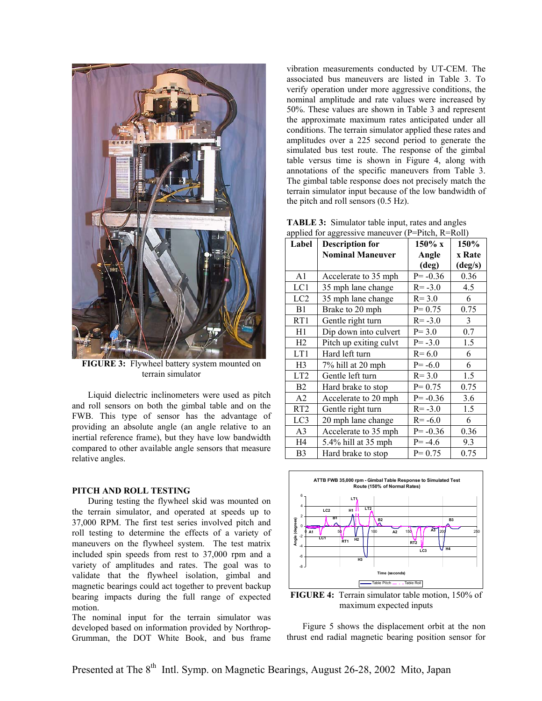

**FIGURE 3:** Flywheel battery system mounted on terrain simulator

Liquid dielectric inclinometers were used as pitch and roll sensors on both the gimbal table and on the FWB. This type of sensor has the advantage of providing an absolute angle (an angle relative to an inertial reference frame), but they have low bandwidth compared to other available angle sensors that measure relative angles.

#### **PITCH AND ROLL TESTING**

During testing the flywheel skid was mounted on the terrain simulator, and operated at speeds up to 37,000 RPM. The first test series involved pitch and roll testing to determine the effects of a variety of maneuvers on the flywheel system. The test matrix included spin speeds from rest to 37,000 rpm and a variety of amplitudes and rates. The goal was to validate that the flywheel isolation, gimbal and magnetic bearings could act together to prevent backup bearing impacts during the full range of expected motion.

The nominal input for the terrain simulator was developed based on information provided by Northrop-Grumman, the DOT White Book, and bus frame vibration measurements conducted by UT-CEM. The associated bus maneuvers are listed in Table 3. To verify operation under more aggressive conditions, the nominal amplitude and rate values were increased by 50%. These values are shown in Table 3 and represent the approximate maximum rates anticipated under all conditions. The terrain simulator applied these rates and amplitudes over a 225 second period to generate the simulated bus test route. The response of the gimbal table versus time is shown in Figure 4, along with annotations of the specific maneuvers from Table 3. The gimbal table response does not precisely match the terrain simulator input because of the low bandwidth of the pitch and roll sensors (0.5 Hz).

| <b>TABLE 3:</b> Simulator table input, rates and angles |  |
|---------------------------------------------------------|--|
| applied for aggressive maneuver (P=Pitch, R=Roll)       |  |

| Label           | applied for appressive maneaver $\mu$<br><b>Description for</b> | 150% x      | 150%             |
|-----------------|-----------------------------------------------------------------|-------------|------------------|
|                 | <b>Nominal Maneuver</b>                                         | Angle       | x Rate           |
|                 |                                                                 | (deg)       | $(\text{deg/s})$ |
| A <sub>1</sub>  | Accelerate to 35 mph                                            | $P = -0.36$ | 0.36             |
| LC1             | 35 mph lane change                                              | $R = -3.0$  | 4.5              |
| LC2             | 35 mph lane change                                              | $R = 3.0$   | 6                |
| B1              | Brake to 20 mph                                                 | $P = 0.75$  | 0.75             |
| RT1             | Gentle right turn                                               | $R = -3.0$  | 3                |
| H1              | Dip down into culvert                                           | $P = 3.0$   | 0.7              |
| H2              | Pitch up exiting culvt                                          | $P = -3.0$  | 1.5              |
| LT1             | Hard left turn                                                  | $R = 6.0$   | 6                |
| H <sub>3</sub>  | 7% hill at 20 mph                                               | $P = -6.0$  | 6                |
| LT <sub>2</sub> | Gentle left turn                                                | $R = 3.0$   | 1.5              |
| B2              | Hard brake to stop                                              | $P = 0.75$  | 0.75             |
| A2              | Accelerate to 20 mph                                            | $P = -0.36$ | 3.6              |
| RT <sub>2</sub> | Gentle right turn                                               | $R = -3.0$  | 1.5              |
| LC3             | 20 mph lane change                                              | $R = -6.0$  | 6                |
| A <sub>3</sub>  | Accelerate to 35 mph                                            | $P = -0.36$ | 0.36             |
| H4              | 5.4% hill at 35 mph                                             | $P = -4.6$  | 9.3              |
| B <sub>3</sub>  | Hard brake to stop                                              | $P = 0.75$  | 0.75             |



**FIGURE 4:** Terrain simulator table motion, 150% of maximum expected inputs

Figure 5 shows the displacement orbit at the non thrust end radial magnetic bearing position sensor for

Presented at The 8<sup>th</sup> Intl. Symp. on Magnetic Bearings, August 26-28, 2002 Mito, Japan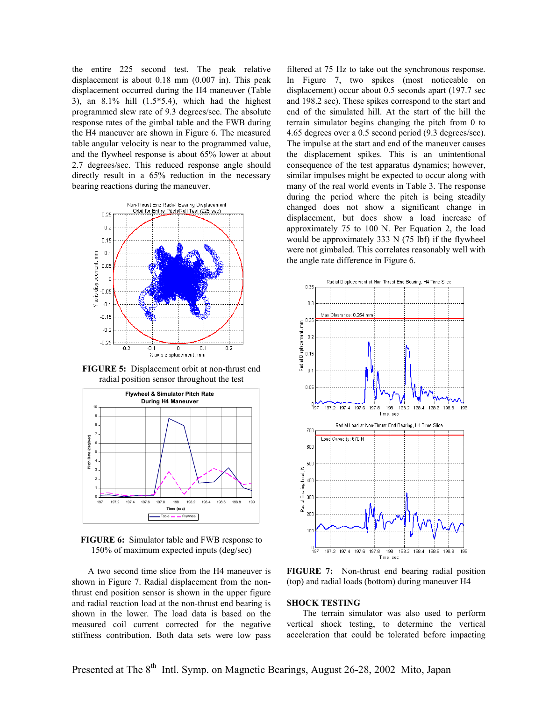the entire 225 second test. The peak relative displacement is about 0.18 mm (0.007 in). This peak displacement occurred during the H4 maneuver (Table 3), an  $8.1\%$  hill  $(1.5*5.4)$ , which had the highest programmed slew rate of 9.3 degrees/sec. The absolute response rates of the gimbal table and the FWB during the H4 maneuver are shown in Figure 6. The measured table angular velocity is near to the programmed value, and the flywheel response is about 65% lower at about 2.7 degrees/sec. This reduced response angle should directly result in a 65% reduction in the necessary bearing reactions during the maneuver.



**FIGURE 5:** Displacement orbit at non-thrust end radial position sensor throughout the test



**FIGURE 6:** Simulator table and FWB response to 150% of maximum expected inputs (deg/sec)

A two second time slice from the H4 maneuver is shown in Figure 7. Radial displacement from the nonthrust end position sensor is shown in the upper figure and radial reaction load at the non-thrust end bearing is shown in the lower. The load data is based on the measured coil current corrected for the negative stiffness contribution. Both data sets were low pass filtered at 75 Hz to take out the synchronous response. In Figure 7, two spikes (most noticeable on displacement) occur about 0.5 seconds apart (197.7 sec and 198.2 sec). These spikes correspond to the start and end of the simulated hill. At the start of the hill the terrain simulator begins changing the pitch from 0 to 4.65 degrees over a 0.5 second period (9.3 degrees/sec). The impulse at the start and end of the maneuver causes the displacement spikes. This is an unintentional consequence of the test apparatus dynamics; however, similar impulses might be expected to occur along with many of the real world events in Table 3. The response during the period where the pitch is being steadily changed does not show a significant change in displacement, but does show a load increase of approximately 75 to 100 N. Per Equation 2, the load would be approximately 333 N (75 lbf) if the flywheel were not gimbaled. This correlates reasonably well with the angle rate difference in Figure 6.



**FIGURE 7:** Non-thrust end bearing radial position (top) and radial loads (bottom) during maneuver H4

#### **SHOCK TESTING**

The terrain simulator was also used to perform vertical shock testing, to determine the vertical acceleration that could be tolerated before impacting